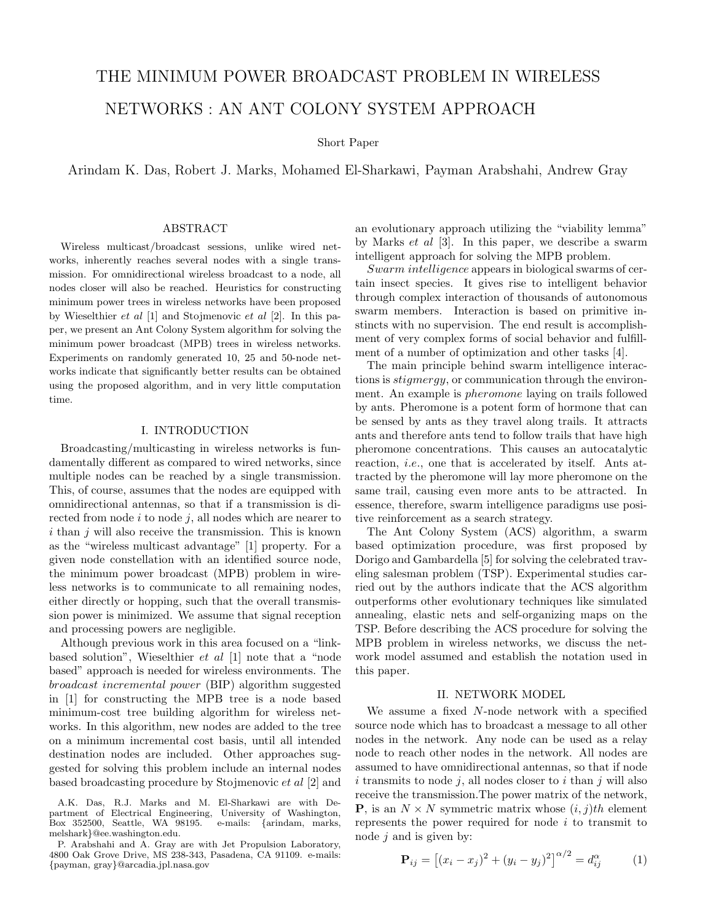# THE MINIMUM POWER BROADCAST PROBLEM IN WIRELESS

## NETWORKS : AN ANT COLONY SYSTEM APPROACH

Short Paper

Arindam K. Das, Robert J. Marks, Mohamed El-Sharkawi, Payman Arabshahi, Andrew Gray

#### ABSTRACT

Wireless multicast/broadcast sessions, unlike wired networks, inherently reaches several nodes with a single transmission. For omnidirectional wireless broadcast to a node, all nodes closer will also be reached. Heuristics for constructing minimum power trees in wireless networks have been proposed by Wieselthier et al [1] and Stojmenovic et al [2]. In this paper, we present an Ant Colony System algorithm for solving the minimum power broadcast (MPB) trees in wireless networks. Experiments on randomly generated 10, 25 and 50-node networks indicate that significantly better results can be obtained using the proposed algorithm, and in very little computation time.

### I. INTRODUCTION

Broadcasting/multicasting in wireless networks is fundamentally different as compared to wired networks, since multiple nodes can be reached by a single transmission. This, of course, assumes that the nodes are equipped with omnidirectional antennas, so that if a transmission is directed from node  $i$  to node  $j$ , all nodes which are nearer to  $i$  than  $j$  will also receive the transmission. This is known as the "wireless multicast advantage" [1] property. For a given node constellation with an identified source node, the minimum power broadcast (MPB) problem in wireless networks is to communicate to all remaining nodes, either directly or hopping, such that the overall transmission power is minimized. We assume that signal reception and processing powers are negligible.

Although previous work in this area focused on a "linkbased solution", Wieselthier et al [1] note that a "node based" approach is needed for wireless environments. The broadcast incremental power (BIP) algorithm suggested in [1] for constructing the MPB tree is a node based minimum-cost tree building algorithm for wireless networks. In this algorithm, new nodes are added to the tree on a minimum incremental cost basis, until all intended destination nodes are included. Other approaches suggested for solving this problem include an internal nodes based broadcasting procedure by Stojmenovic et al [2] and

an evolutionary approach utilizing the "viability lemma" by Marks et al [3]. In this paper, we describe a swarm intelligent approach for solving the MPB problem.

Swarm intelligence appears in biological swarms of certain insect species. It gives rise to intelligent behavior through complex interaction of thousands of autonomous swarm members. Interaction is based on primitive instincts with no supervision. The end result is accomplishment of very complex forms of social behavior and fulfillment of a number of optimization and other tasks [4].

The main principle behind swarm intelligence interactions is stigmergy, or communication through the environment. An example is pheromone laying on trails followed by ants. Pheromone is a potent form of hormone that can be sensed by ants as they travel along trails. It attracts ants and therefore ants tend to follow trails that have high pheromone concentrations. This causes an autocatalytic reaction, i.e., one that is accelerated by itself. Ants attracted by the pheromone will lay more pheromone on the same trail, causing even more ants to be attracted. In essence, therefore, swarm intelligence paradigms use positive reinforcement as a search strategy.

The Ant Colony System (ACS) algorithm, a swarm based optimization procedure, was first proposed by Dorigo and Gambardella [5] for solving the celebrated traveling salesman problem (TSP). Experimental studies carried out by the authors indicate that the ACS algorithm outperforms other evolutionary techniques like simulated annealing, elastic nets and self-organizing maps on the TSP. Before describing the ACS procedure for solving the MPB problem in wireless networks, we discuss the network model assumed and establish the notation used in this paper.

#### II. NETWORK MODEL

We assume a fixed N-node network with a specified source node which has to broadcast a message to all other nodes in the network. Any node can be used as a relay node to reach other nodes in the network. All nodes are assumed to have omnidirectional antennas, so that if node  $i$  transmits to node  $j$ , all nodes closer to  $i$  than  $j$  will also receive the transmission.The power matrix of the network, **P**, is an  $N \times N$  symmetric matrix whose  $(i, j)$ th element represents the power required for node  $i$  to transmit to node  $j$  and is given by:

$$
\mathbf{P}_{ij} = [(x_i - x_j)^2 + (y_i - y_j)^2]^{\alpha/2} = d_{ij}^{\alpha} \tag{1}
$$

A.K. Das, R.J. Marks and M. El-Sharkawi are with Department of Electrical Engineering, University of Washington, Box 352500, Seattle, WA  $98195$ . melshark}@ee.washington.edu.

P. Arabshahi and A. Gray are with Jet Propulsion Laboratory, 4800 Oak Grove Drive, MS 238-343, Pasadena, CA 91109. e-mails: {payman, gray}@arcadia.jpl.nasa.gov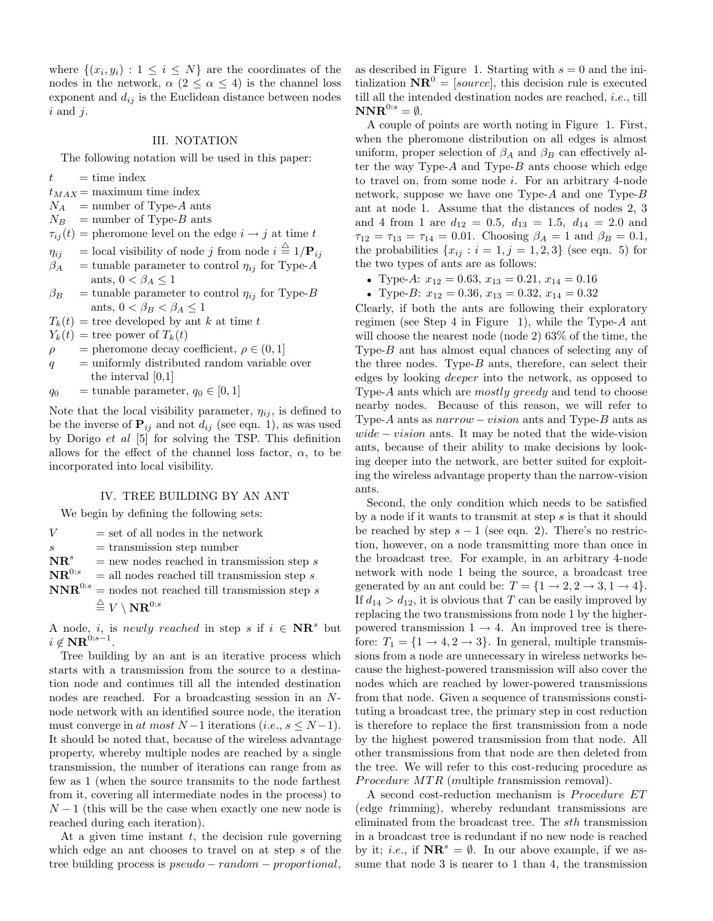where  $\{(x_i, y_i) : 1 \leq i \leq N\}$  are the coordinates of the nodes in the network,  $\alpha$  ( $2 \leq \alpha \leq 4$ ) is the channel loss exponent and  $d_{ij}$  is the Euclidean distance between nodes  $i$  and  $j$ .

#### III. NOTATION

The following notation will be used in this paper:

- $t =$  time index
- $t_{MAX}$  = maximum time index
- $N_A$  = number of Type-A ants
- $N_B$  = number of Type-B ants
- $\tau_{ij}(t)$  = pheromone level on the edge  $i \rightarrow j$  at time t
- $\eta_{ij}$  = local visibility of node j from node  $i \stackrel{\triangle}{=} 1/\mathbf{P}_{ij}$
- $\beta_A$  = tunable parameter to control  $\eta_{ij}$  for Type-A ants,  $0 < \beta_A \leq 1$
- $\beta_B$  = tunable parameter to control  $\eta_{ij}$  for Type-B ants,  $0 < \beta_B < \beta_A \leq 1$
- $T_k(t)$  = tree developed by ant k at time t
- $Y_k(t)$  = tree power of  $T_k(t)$
- $\rho =$  pheromone decay coefficient,  $\rho \in (0, 1]$
- $q =$  uniformly distributed random variable over the interval [0,1]
- $q_0$  = tunable parameter,  $q_0 \in [0, 1]$

Note that the local visibility parameter,  $\eta_{ij}$ , is defined to be the inverse of  $P_{ij}$  and not  $d_{ij}$  (see eqn. 1), as was used by Dorigo et al [5] for solving the TSP. This definition allows for the effect of the channel loss factor,  $\alpha$ , to be incorporated into local visibility.

#### IV. TREE BUILDING BY AN ANT

We begin by defining the following sets:

 $V =$  set of all nodes in the network  $s =$  transmission step number  $\mathbf{NR}^s$  = new nodes reached in transmission step s<br> $\mathbf{NR}^{0:s}$  = all nodes reached till transmission step s  $=$  all nodes reached till transmission step  $s$  $\mathbf{NNR}^{0:s}$  = nodes not reached till transmission step s  $\stackrel{\triangle}{=} V \setminus \mathbf{NR}^{0:s}$ 

A node, *i*, is *newly reached* in step *s* if  $i \in \mathbf{NR}^s$  but  $i \notin \mathbf{NR}^{\hat{0}: s-1}.$ 

Tree building by an ant is an iterative process which starts with a transmission from the source to a destination node and continues till all the intended destination nodes are reached. For a broadcasting session in an Nnode network with an identified source node, the iteration must converge in at most  $N-1$  iterations (i.e.,  $s \leq N-1$ ). It should be noted that, because of the wireless advantage property, whereby multiple nodes are reached by a single transmission, the number of iterations can range from as few as 1 (when the source transmits to the node farthest from it, covering all intermediate nodes in the process) to  $N-1$  (this will be the case when exactly one new node is reached during each iteration).

At a given time instant  $t$ , the decision rule governing which edge an ant chooses to travel on at step s of the tree building process is pseudo − random − proportional,

as described in Figure 1. Starting with  $s = 0$  and the initialization  $\mathbf{NR}^0 = [source]$ , this decision rule is executed till all the intended destination nodes are reached, i.e., till  $\mathbf{NNR}^{0:s} = \emptyset.$ 

A couple of points are worth noting in Figure 1. First, when the pheromone distribution on all edges is almost uniform, proper selection of  $\beta_A$  and  $\beta_B$  can effectively alter the way Type- $A$  and Type- $B$  ants choose which edge to travel on, from some node i. For an arbitrary 4-node network, suppose we have one Type-A and one Type-B ant at node 1. Assume that the distances of nodes 2, 3 and 4 from 1 are  $d_{12} = 0.5$ ,  $d_{13} = 1.5$ ,  $d_{14} = 2.0$  and  $\tau_{12} = \tau_{13} = \tau_{14} = 0.01$ . Choosing  $\beta_A = 1$  and  $\beta_B = 0.1$ , the probabilities  $\{x_{ij} : i = 1, j = 1, 2, 3\}$  (see eqn. 5) for the two types of ants are as follows:

- Type-A:  $x_{12} = 0.63$ ,  $x_{13} = 0.21$ ,  $x_{14} = 0.16$
- Type-B:  $x_{12} = 0.36, x_{13} = 0.32, x_{14} = 0.32$

Clearly, if both the ants are following their exploratory regimen (see Step 4 in Figure 1), while the Type- $A$  ant will choose the nearest node (node 2) 63% of the time, the Type-B ant has almost equal chances of selecting any of the three nodes. Type- $B$  ants, therefore, can select their edges by looking deeper into the network, as opposed to Type-A ants which are mostly greedy and tend to choose nearby nodes. Because of this reason, we will refer to Type- $A$  ants as  $narrow - vision$  ants and Type- $B$  ants as  $wide - vision$  ants. It may be noted that the wide-vision ants, because of their ability to make decisions by looking deeper into the network, are better suited for exploiting the wireless advantage property than the narrow-vision ants.

Second, the only condition which needs to be satisfied by a node if it wants to transmit at step  $s$  is that it should be reached by step  $s - 1$  (see eqn. 2). There's no restriction, however, on a node transmitting more than once in the broadcast tree. For example, in an arbitrary 4-node network with node 1 being the source, a broadcast tree generated by an ant could be:  $T = \{1 \rightarrow 2, 2 \rightarrow 3, 1 \rightarrow 4\}.$ If  $d_{14} > d_{12}$ , it is obvious that T can be easily improved by replacing the two transmissions from node 1 by the higherpowered transmission  $1 \rightarrow 4$ . An improved tree is therefore:  $T_1 = \{1 \rightarrow 4, 2 \rightarrow 3\}$ . In general, multiple transmissions from a node are unnecessary in wireless networks because the highest-powered transmission will also cover the nodes which are reached by lower-powered transmissions from that node. Given a sequence of transmissions constituting a broadcast tree, the primary step in cost reduction is therefore to replace the first transmission from a node by the highest powered transmission from that node. All other transmissions from that node are then deleted from the tree. We will refer to this cost-reducing procedure as Procedure MTR (multiple transmission removal).

A second cost-reduction mechanism is Procedure ET (edge trimming), whereby redundant transmissions are eliminated from the broadcast tree. The sth transmission in a broadcast tree is redundant if no new node is reached by it; *i.e.*, if  $\mathbf{NR}^s = \emptyset$ . In our above example, if we assume that node 3 is nearer to 1 than 4, the transmission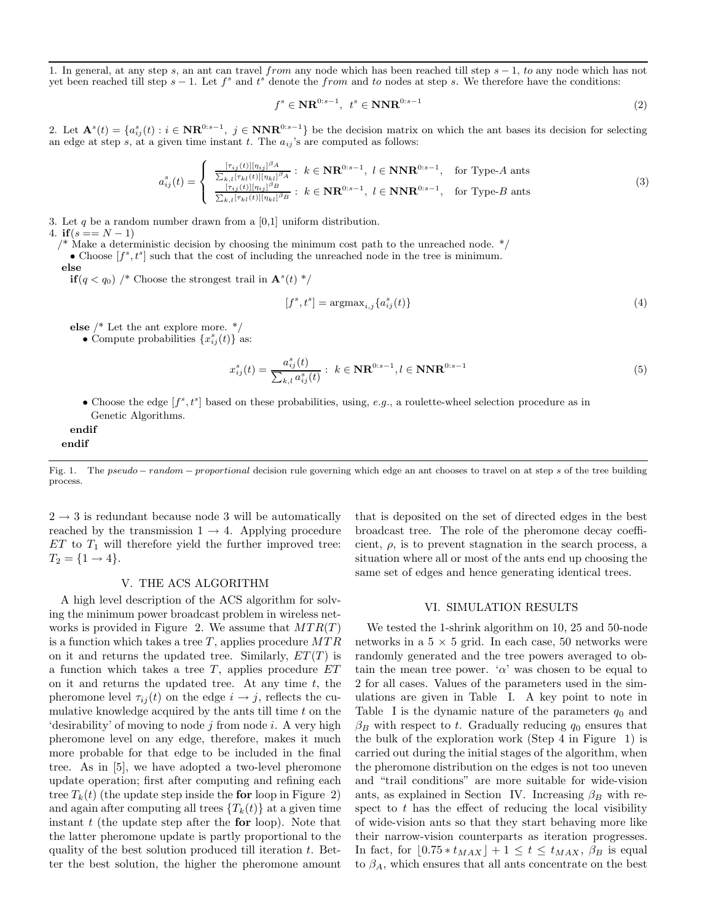1. In general, at any step s, an ant can travel from any node which has been reached till step  $s - 1$ , to any node which has not yet been reached till step  $s-1$ . Let  $f^s$  and  $t^s$  denote the from and to nodes at step s. We therefore have the conditions:

$$
f^s \in \mathbf{NR}^{0:s-1}, \ t^s \in \mathbf{NNR}^{0:s-1} \tag{2}
$$

2. Let  $\mathbf{A}^{s}(t) = \{a_{ij}^{s}(t) : i \in \mathbf{NR}^{0:s-1}, j \in \mathbf{NNR}^{0:s-1}\}\$  be the decision matrix on which the ant bases its decision for selecting an edge at step s, at a given time instant t. The  $a_{ij}$ 's are computed as follows:

$$
a_{ij}^s(t) = \begin{cases} \frac{[\tau_{ij}(t)][\eta_{ij}]^{\beta_A}}{\sum_{k,l} [\tau_{kl}(t)][\eta_{kl}]^{\beta_B}} : & k \in \mathbf{NR}^{0:s-1}, \ l \in \mathbf{NNR}^{0:s-1}, \quad \text{for Type-}A \text{ and } \\ \frac{[\tau_{ij}(t)][\eta_{ij}]^{\beta_B}}{\sum_{k,l} [\tau_{kl}(t)][\eta_{kl}]^{\beta_B}} : & k \in \mathbf{NR}^{0:s-1}, \ l \in \mathbf{NNR}^{0:s-1}, \quad \text{for Type-}B \text{ and } \end{cases} \tag{3}
$$

3. Let q be a random number drawn from a  $[0,1]$  uniform distribution.

4. if  $(s == N - 1)$ 

 $\frac{1}{2}$  Make a deterministic decision by choosing the minimum cost path to the unreached node.  $\frac{*}{2}$ 

• Choose  $[f^s, t^s]$  such that the cost of including the unreached node in the tree is minimum.

else

**if**  $(q < q_0)$  /\* Choose the strongest trail in  $\mathbf{A}^s(t)$  \*/

$$
[f^s, t^s] = \operatorname{argmax}_{i,j} \{ a_{ij}^s(t) \} \tag{4}
$$

else /\* Let the ant explore more. \*/

• Compute probabilities  $\{x_{ij}^s(t)\}\$ as:

$$
x_{ij}^s(t) = \frac{a_{ij}^s(t)}{\sum_{k,l} a_{ij}^s(t)} : k \in \mathbf{NR}^{0:s-1}, l \in \mathbf{NNR}^{0:s-1}
$$
\n(5)

• Choose the edge  $[f^s, t^s]$  based on these probabilities, using, e.g., a roulette-wheel selection procedure as in Genetic Algorithms.

endif endif

 $2 \rightarrow 3$  is redundant because node 3 will be automatically reached by the transmission  $1 \rightarrow 4$ . Applying procedure  $ET$  to  $T_1$  will therefore yield the further improved tree:  $T_2 = \{1 \rightarrow 4\}.$ 

#### V. THE ACS ALGORITHM

A high level description of the ACS algorithm for solving the minimum power broadcast problem in wireless networks is provided in Figure 2. We assume that  $MTR(T)$ is a function which takes a tree  $T$ , applies procedure  $MTR$ on it and returns the updated tree. Similarly,  $ET(T)$  is a function which takes a tree  $T$ , applies procedure  $ET$ on it and returns the updated tree. At any time  $t$ , the pheromone level  $\tau_{ij}(t)$  on the edge  $i \to j$ , reflects the cumulative knowledge acquired by the ants till time  $t$  on the 'desirability' of moving to node  $j$  from node  $i$ . A very high pheromone level on any edge, therefore, makes it much more probable for that edge to be included in the final tree. As in [5], we have adopted a two-level pheromone update operation; first after computing and refining each tree  $T_k(t)$  (the update step inside the **for** loop in Figure 2) and again after computing all trees  ${T_k(t)}$  at a given time instant  $t$  (the update step after the **for** loop). Note that the latter pheromone update is partly proportional to the quality of the best solution produced till iteration t. Better the best solution, the higher the pheromone amount

that is deposited on the set of directed edges in the best broadcast tree. The role of the pheromone decay coefficient,  $\rho$ , is to prevent stagnation in the search process, a situation where all or most of the ants end up choosing the same set of edges and hence generating identical trees.

#### VI. SIMULATION RESULTS

We tested the 1-shrink algorithm on 10, 25 and 50-node networks in a  $5 \times 5$  grid. In each case, 50 networks were randomly generated and the tree powers averaged to obtain the mean tree power. ' $\alpha$ ' was chosen to be equal to 2 for all cases. Values of the parameters used in the simulations are given in Table I. A key point to note in Table I is the dynamic nature of the parameters  $q_0$  and  $\beta_B$  with respect to t. Gradually reducing  $q_0$  ensures that the bulk of the exploration work (Step 4 in Figure 1) is carried out during the initial stages of the algorithm, when the pheromone distribution on the edges is not too uneven and "trail conditions" are more suitable for wide-vision ants, as explained in Section IV. Increasing  $\beta_B$  with respect to  $t$  has the effect of reducing the local visibility of wide-vision ants so that they start behaving more like their narrow-vision counterparts as iteration progresses. In fact, for  $[0.75 * t_{MAX}] + 1 \le t \le t_{MAX}, \beta_B$  is equal to  $\beta_A$ , which ensures that all ants concentrate on the best

Fig. 1. The pseudo – random – proportional decision rule governing which edge an ant chooses to travel on at step s of the tree building process.